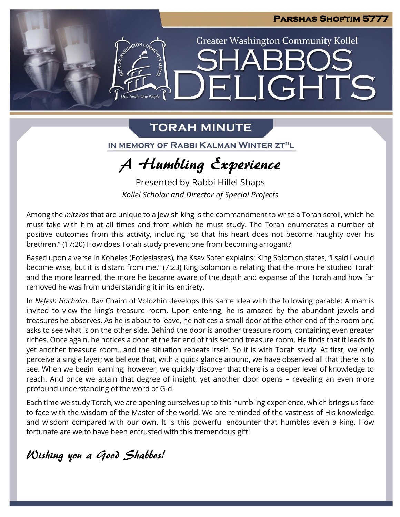**Greater Washington Community Kollel** 

ELIGHTS

# **TORAH MINUTE**

One Torah. One People

IN MEMORY OF RABBI KALMAN WINTER ZT"L

# A Humbling Experience

Presented by Rabbi Hillel Shaps *Kollel Scholar and Director of Special Projects*

Among the *mitzvos* that are unique to a Jewish king is the commandment to write a Torah scroll, which he must take with him at all times and from which he must study. The Torah enumerates a number of positive outcomes from this activity, including "so that his heart does not become haughty over his brethren." (17:20) How does Torah study prevent one from becoming arrogant?

Based upon a verse in Koheles (Ecclesiastes), the Ksav Sofer explains: King Solomon states, "I said I would become wise, but it is distant from me." (7:23) King Solomon is relating that the more he studied Torah and the more learned, the more he became aware of the depth and expanse of the Torah and how far removed he was from understanding it in its entirety.

In *Nefesh Hachaim*, Rav Chaim of Volozhin develops this same idea with the following parable: A man is invited to view the king's treasure room. Upon entering, he is amazed by the abundant jewels and treasures he observes. As he is about to leave, he notices a small door at the other end of the room and asks to see what is on the other side. Behind the door is another treasure room, containing even greater riches. Once again, he notices a door at the far end of this second treasure room. He finds that it leads to yet another treasure room…and the situation repeats itself. So it is with Torah study. At first, we only perceive a single layer; we believe that, with a quick glance around, we have observed all that there is to see. When we begin learning, however, we quickly discover that there is a deeper level of knowledge to reach. And once we attain that degree of insight, yet another door opens – revealing an even more profound understanding of the word of G-d.

Each time we study Torah, we are opening ourselves up to this humbling experience, which brings us face to face with the wisdom of the Master of the world. We are reminded of the vastness of His knowledge and wisdom compared with our own. It is this powerful encounter that humbles even a king. How fortunate are we to have been entrusted with this tremendous gift!

Wishing you a Good Shabbos!